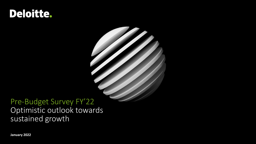# Deloitte.



ST ST ST

**January 2022**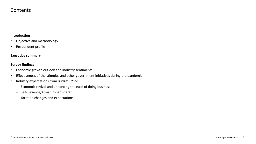### Contents

### **Introduction**

- Objective and methodology
- Respondent profile

#### **Executive summary**

#### **Survey findings**

- Economic growth outlook and industry sentiments
- Effectiveness of the stimulus and other government initiatives during the pandemic
- Industry expectations from Budget FY'22
	- Economic revival and enhancing the ease of doing business
	- ‒ Self-Reliance/Atmanirbhar Bharat
	- ‒ Taxation changes and expectations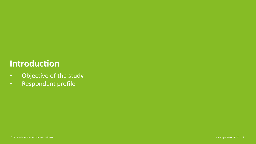# **Introduction**

- Objective of the study
- Respondent profile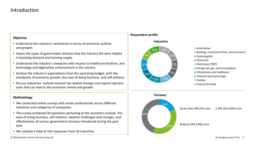### Introduction

#### **Objective**

- Understand the industry's sentiments in terms of economic outlook and growth.
- Assess the types of government stimulus that the industry felt were helpful in boosting demand and reviving supply.
- Understand the industry's viewpoint with respect to healthcare facilities, and technology and digitisation enhancement in the country.
- Analyse the industry's expectations from the upcoming budget, with the standpoint of economic growth, the ease of doing business, and self-reliance.
- Discuss industries' outlook towards tax-related changes and capital injection tools that can lead to the economic revival and growth.

#### **Methodology**

- We conducted online surveys with senior professionals across different industries and categories of companies.
- The survey contained 20 questions pertaining to the economic outlook, the ease of doing business, self-reliance, taxation challenges and changes, and effectiveness of various government stimulus introduced during the past year.
- We collated a total of 163 responses from 10 industries.

**Respondent profile**



- Banking, investment firms, and insurance
- Capital goods
- Chemicals
- **Electronics (TMT)**
- **Energy (oil, gas, and renewables)**
- Lifesciences and healthcare
- **Telecom and technology**
- **Textiles**
- **Food processing**



© 2022 Deloitte Touche Tohmatsu India LLP. Pre-Budget Survey FY'22 4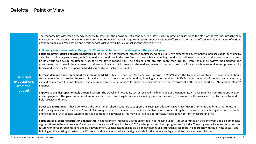The economy has witnessed a steady recovery to date, but the downside risks continue. The latest surge in infection cases since the start of the year has brought back uncertainties. We expect the economy to be resilient. However, that will require the government's sustained efforts on reforms and effective implementation of various economic measures. Vaccination and health services delivery will be key in tackling the immediate risk.

#### **Following announcements in Budget FY'22 are expected to further strengthen the pace of growth**

**Focus on infrastructure and asset monetisation:** In FY'22, the government increased capital spending by 26%. We expect the government to increase capital spending by a similar margin this year as well, with frontloading expenditure in the next few quarters. While continuing spending on rail, road, and airports, the government can step up its efforts to develop multimodal transports for better connectivity. The ongoing large projects (more than INR 150 crore) should be swiftly implemented. The government must unlock the commercial and economic values of its assets at the earliest, as well as tap into alternate foreign (such as sovereign and private equity funds) and domestic (such as pension funds) sources for infrastructure funding.

**Deloitte's expectations from the budget**

**Increase demand and employment by stimulating MSMEs:** Micro, Small, and Medium Scale Enterprises (MSMEs) are the biggest job creators. The government should continue its efforts to revive the sector. Providing access to more affordable funding, bringing a larger number of MSMEs under the ambit of the formal credit system, expanding alternate funding channels, and continuing on the relief policies for targeted recipients can be the government's efforts to support the 'Atmanirbhar Bharat' initiative.

**Support to the disproportionately affected sectors:** The travel and hospitality sector received the blunt edge of the pandemic. It makes significant contributions to GDP and employment. The government must announce short-term and long-term plans, including some tax measures, to make up for the losses incurred by the sector and help it revive and thrive.

**Boost to exports:** Exports have done well. The government should continue to support the existing Production-Linked Incentive (PLI) scheme and bring other relevant industry segments into the scheme. Several FTAs are queued up in the near term. In line with FTAs, short-term and long-term measures can be brought to boost exports, and encourage FDI in sectors where India has a competitive advantage. This may also involve appropriately negotiating non-tariff measures in FTAs.

Focus on social sectors (education and health): The government increased allocation for health in the last budget. It must continue on the same vein and also emphasise digital delivery of health services. On education, the National Education Policy 2020 envisages an ambitious programme for India. The programme includes preparing the future workforce through training and skill development. Special attention should be on developing skills (through a collaborative approach with the private sector) and building on the existing infrastructure. Efforts should be made to reduce the digital divide for the under-privileged and the disadvantaged children.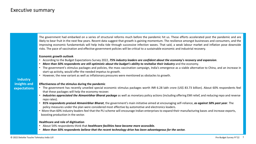© 2022 Deloitte Touche Tohmatsu India LLP. Pre-Budget Survey FY'22 7 **Industry insights and expectations**  The government had embarked on a series of structural reforms much before the pandemic hit us. These efforts accelerated post the pandemic and are likely to bear fruit in the next few years. Recent data suggest that growth is gaining momentum. The resilience amongst businesses and consumers, and the improving economic fundamentals will help India tide through successive infection waves. That said, a weak labour market and inflation pose downside risks. The pace of vaccination and effective government policies will be critical to a sustainable economic and industrial recovery. **Economic growth outlook** • According to the Budget Expectations Survey 2022, *75% industry leaders are confident about the economy's recovery and expansion*. • More than 50% respondents are still optimistic about the budget's ability to revitalise their industry and the economy. • The government's stimulus packages and policies, the mass vaccination campaign, India's emergence as a viable alternative to China, and an increase in start-up activity, would offer the needed impetus to growth. • However, the new variant as well as inflationary pressures were mentioned as obstacles to growth. **Effectiveness of the stimulus during the pandemic** • The government has recently unveiled special economic stimulus packages worth INR 6.28 lakh crore (US\$ 83.73 billion). About 60% respondents feel that these packages will help the economy recover. • *Industries appreciated the Atmanirbhar Bharat package* as well as monetary policy actions (including offering EMI relief, and reducing repo and reverse repo rates). • *91% respondents praised Atmanirbhar Bharat*, the government's main initiative aimed at encouraging self-reliance, *as against 58% past year*. The policy measures under the plan were considered most effective by automotive and electronics leaders. • More than 60% industry leaders feel that the PLI scheme will encourage Indian enterprises to expand their manufacturing bases and increase exports, boosting production in the sector. **Healthcare and role of digitisation** • About 54% respondents think that *healthcare facilities have become more accessible.* • *More than 50% respondents believe that the recent technology drive has been advantageous for the sector.*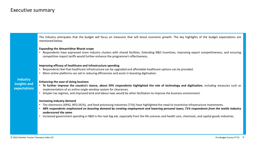The industry anticipates that the budget will focus on measures that will boost economic growth. The key highlights of the budget expectations are mentioned below.

#### **Expanding the Atmanirbhar Bharat scope**

• Respondents have expressed more industry clusters with shared facilities. Extending R&D incentives, improving export competitiveness, and ensuring competitive import tariffs would further enhance the programme's effectiveness.

#### **Improving efficacy of healthcare and infrastructure spending**

- Respondents feel that healthcare infrastructure can be upgraded and affordable healthcare options can be provided.
- More online platforms can aid in reducing efficiencies and assist in boosting digitisation.

**Industry insights and expectations**

#### **Enhancing the ease of doing business**

- To further improve the country's stance, about 59% respondents highlighted the role of technology and digitisation, including measures such as implementation of an online single-window system for clearances.
- Simpler tax regimes, and improved land and labour laws would be other facilitators to improve the business environment.

#### **Increasing industry demand**

- The electronics (69%), BFSI (81%), and food processing industries (71%) have highlighted the need to incentivise infrastructure investments.
- 48% respondents emphasised on boosting demand by creating employment and lowering personal taxes; 71% respondents from the textile industry *underscored the same*.
- Increased government spending in R&D is the next big ask, especially from the life sciences and health care, chemicals, and capital goods industries.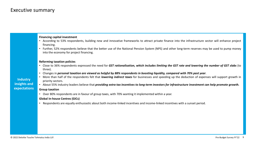**Financing capital investment**

• According to 53% respondents, building new and innovative frameworks to attract private finance into the infrastructure sector will enhance project financing.

• Further, 52% respondents believe that the better use of the National Pension System (NPS) and other long-term reserves may be used to pump money into the economy for project financing.

#### **Reforming taxation policies**

- Close to 36% respondents expressed the need for GST rationalisation, which includes limiting the GST rate and lowering the number of GST slabs (to three).
- Changes in personal taxation are viewed as helpful by 88% respondents in boosting liquidity, compared with 70% past year.
- More than half of the respondents felt that *lowering indirect taxes* for businesses and speeding up the deduction of expenses will support growth in priority sectors.
- About 55% industry leaders believe that providing extra tax incentives to long-term investors for infrastructure investment can help promote growth.

#### **Group taxation**

• Over 80% respondents are in favour of group taxes, with 70% wanting it implemented within a year.

#### **Global In-house Centres (GICs)**

• Respondents are equally enthusiastic about both income-linked incentives and income-linked incentives with a sunset period.

**Industry insights and expectations**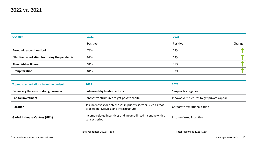| <b>Outlook</b>                                | 2022            | 2021                      |  |
|-----------------------------------------------|-----------------|---------------------------|--|
|                                               | <b>Positive</b> | <b>Positive</b><br>Change |  |
| <b>Economic growth outlook</b>                | 78%             | 68%                       |  |
| Effectiveness of stimulus during the pandemic | 92%             | 62%                       |  |
| <b>Atmanirbhar Bharat</b>                     | 91%             | 58%                       |  |
| <b>Group taxation</b>                         | 81%             | 37%                       |  |

| <b>Topmost expectations from the budget</b> | 2022                                                                                                      | 2021                                         |
|---------------------------------------------|-----------------------------------------------------------------------------------------------------------|----------------------------------------------|
| Enhancing the ease of doing business        | <b>Enhanced digitisation efforts</b>                                                                      | Simpler tax regimes                          |
| <b>Capital investment</b>                   | Innovative structures to get private capital                                                              | Innovative structures to get private capital |
| <b>Taxation</b>                             | Tax incentives for enterprises in priority sectors, such as food<br>processing, MSMEs, and infrastructure | Corporate tax rationalisation                |
| <b>Global In-house Centres (GICs)</b>       | Income-related incentives and income-linked incentive with a<br>sunset period                             | Income-linked incentive                      |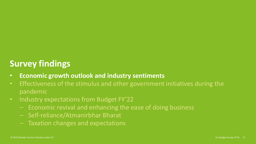# **Survey findings**

- **Economic growth outlook and industry sentiments**
- Effectiveness of the stimulus and other government initiatives during the pandemic
- Industry expectations from Budget FY'22
	- Economic revival and enhancing the ease of doing business
	- Self-reliance/Atmanirbhar Bharat
	- Taxation changes and expectations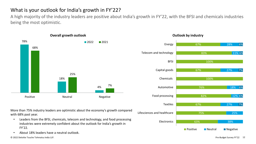## What is your outlook for India's growth in FY'22?

A high majority of the industry leaders are positive about India's growth in FY'22, with the BFSI and chemicals industries being the most optimistic.



**Outlook by industry** 



- Leaders from the BFSI, chemicals, telecom and technology, and food processing industries were extremely confident about the outlook for India's growth in FY'22.
- About 18% leaders have a neutral outlook.

© 2022 Deloitte Touche Tohmatsu India LLP. Pre-Budget Survey FY'22 12

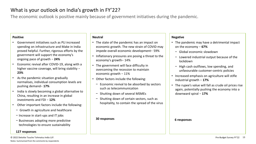## What is your outlook on India's growth in FY'22?

The economic outlook is positive mainly because of government initiatives during the pandemic.

#### **Positive**

- Government initiatives such as PLI increased spending on infrastructure and Make in India proved helpful. Further, rigorous efforts by the government will support the economy's ongoing pace of growth − **24%**
- Economic revival after COVID-19, along with a higher vaccine coverage, will bring stability − **23%**
- As the pandemic situation gradually normalises, individual consumption levels are pushing demand− **17%**
- India is slowly becoming a global alternative to China, resulting in an increase in global investments and FDI − **12%**
- Other important factors include the following:
	- − Growth in agriculture and healthcare
	- − Increase in start-ups and IT jobs
	- − Businesses adopting more predictive technologies to ensure sustainability

#### **127 responses**

#### **Neutral**

- The state of the pandemic has an impact on economic growth. The new strain of COVID may impede overall economic development− 59%
- Inflationary pressures are posing a threat to the economy's growth− 14%
- The government will face difficulty in overcoming the recession to maintain economic growth − 11%
- Other factors include the following:
	- − Economic revival to be absorbed by sectors such as telecommunication
	- − Shutting down of several MSMEs
	- − Shutting down of certain sectors, such as hospitality, to contain the spread of the virus

#### **30 responses**

### **Negative**

- The pandemic may have a detrimental impact on the economy − **67%**
	- − Global economic slowdown
	- − Lowered industrial output because of the lockdown
	- − High cash outflows, low spending, and unfavourable customer-centric policies
- Increased emphasis on agriculture will stifle industrial growth − **17%**
- The rupee's value will fall as crude oil prices rise again, potentially pushing the economy into a downward spiral − **17%**

#### **6 responses**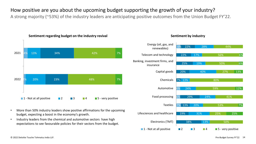## How positive are you about the upcoming budget supporting the growth of your industry?

A strong majority (~53%) of the industry leaders are anticipating positive outcomes from the Union Budget FY'22.



• More than 50% industry leaders show positive affirmations for the upcoming

• Industry leaders from the chemical and automotive sectors have high expectations to see favourable policies for their sectors from the budget.

budget, expecting a boost in the economy's growth.

### Sentiment regarding budget on the industry revival **Sentiment by industry Sentiment by industry**



© 2022 Deloitte Touche Tohmatsu India LLP. Pre-Budget Survey FY'22 14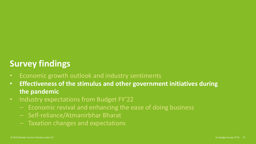# **Survey findings**

- Economic growth outlook and industry sentiments
- **Effectiveness of the stimulus and other government initiatives during the pandemic**
- Industry expectations from Budget FY'22
	- Economic revival and enhancing the ease of doing business
	- Self-reliance/Atmanirbhar Bharat
	- Taxation changes and expectations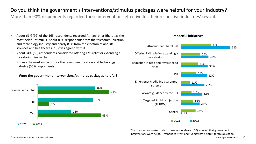## Do you think the government's interventions/stimulus packages were helpful for your industry?

More than 90% respondents regarded these interventions effective for their respective industries' revival.

- About 61% (99) of the 163 respondents regarded Atmanirbhar Bharat as the **Impactful initiatives** most helpful stimulus. About 89% respondents from the telecommunication and technology industry and nearly 81% from the electronics and life sciences and healthcare industries agreed with it.
- About 34% (55) respondents considered offering EMI relief or extending a moratorium impactful.
- PLI was the most impactful for the telecommunication and technology industry (56% respondents).

#### **Were the government interventions/stimulus packages helpful?**





This question was asked only to those respondents (150) who felt that government interventions were helpful (responded "Yes" and "Somewhat helpful" for this question).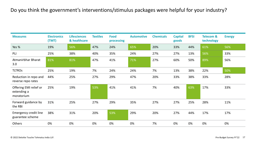## Do you think the government's interventions/stimulus packages were helpful for your industry?

| <b>Measures</b>                                     | <b>Electronics</b><br>(TMT) | <b>Lifesciences</b><br>& healthcare | <b>Textiles</b> | <b>Food</b><br>processing | <b>Automotive</b> | <b>Chemicals</b> | <b>Capital</b><br>goods | <b>BFSI</b> | <b>Telecom &amp;</b><br>technology | <b>Energy</b> |
|-----------------------------------------------------|-----------------------------|-------------------------------------|-----------------|---------------------------|-------------------|------------------|-------------------------|-------------|------------------------------------|---------------|
| Yes %                                               | 19%                         | 56%                                 | 47%             | 24%                       | 65%               | 20%              | 33%                     | 44%         | 61%                                | 56%           |
| PLI                                                 | 25%                         | 38%                                 | 40%             | 35%                       | 24%               | 27%              | 27%                     | 13%         | 56%                                | 33%           |
| Atmanirbhar Bharat<br>3.0                           | 81%                         | 81%                                 | 47%             | 41%                       | 71%               | 27%              | 60%                     | 50%         | 89%                                | 56%           |
| <b>TLTROS</b>                                       | 25%                         | 19%                                 | 7%              | 24%                       | 24%               | 7%               | 13%                     | 38%         | 22%                                | 50%           |
| Reduction in repo and<br>reverse repo rates         | 44%                         | 25%                                 | 27%             | 29%                       | 47%               | 20%              | 33%                     | 38%         | 33%                                | 28%           |
| Offering EMI relief or<br>extending a<br>moratorium | 25%                         | 19%                                 | 53%             | 41%                       | 41%               | 7%               | 40%                     | 63%         | 17%                                | 33%           |
| Forward guidance by<br>the RBI                      | 31%                         | 25%                                 | 27%             | 29%                       | 35%               | 27%              | 27%                     | 25%         | 28%                                | 11%           |
| <b>Emergency credit line</b><br>guarantee scheme    | 38%                         | 31%                                 | 20%             | 53%                       | 29%               | 20%              | 27%                     | 44%         | 17%                                | 17%           |
| Others                                              | 0%                          | 0%                                  | 0%              | 0%                        | 0%                | 7%               | 0%                      | 0%          | 0%                                 | 0%            |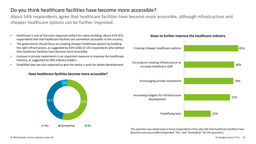## Do you think healthcare facilities have become more accessible?

About 54% respondents agree that healthcare facilities have become more accessible, although infrastructure and cheaper healthcare options can be further improved.

- Healthcare is one of the most important pillars for nation building. About 41% (67) **Steps to further improve the healthcare industry** respondents feel that healthcare facilities are somewhat accessible in the country.
- The government should focus on creating cheaper healthcare options by building the right infrastructure, as suggested by 65% (100) of 155 respondents who believe that healthcare facilities have become more accessible.
- Increase in private investments is an important measure to improve the healthcare industry, as suggested by 59% industry leaders.
- Simplified laws are also expected to give the sector a push for better development.



# 55% Increasing budgets for infrastructure development Encouraging private investment Focusing on creating infrastructure to increase healthcare staff Creating cheaper healthcare options

Simplifying laws

This question was asked only to those respondents (155) who felt that healthcare facilities have become more accessible (responded "Yes" and "Somewhat" for this question).

59%

60%

65%

32%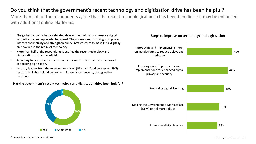## Do you think that the government's recent technology and digitisation drive has been helpful?

More than half of the respondents agree that the recent technological push has been beneficial; it may be enhanced with additional online platforms.

- The global pandemic has accelerated development of many large-scale digital **Steps to improve on technology and digitisation** innovations at an unprecedented speed. The government is striving to improve internet connectivity and strengthen online infrastructure to make India digitally empowered in the realm of technology.
- More than half of the respondents identified the recent technology and digitalisation push as beneficial.
- According to nearly half of the respondents, more online platforms can assist in boosting digitisation.
- Industry leaders from the telecommunication (61%) and food processing(59%) sectors highlighted cloud deployment for enhanced security as suggestive measures.

#### **Has the government's recent technology and digitisation drive been helpful?**



Introducing and implementing more online platforms to reduce delays and red-tape

Ensuring cloud deployments and implementations for enhanced digital privacy and security



(GeM) portal more robust

Promoting digital taxation

Promoting digital licensing

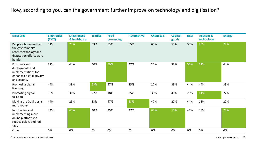## How, according to you, can the government further improve on technology and digitisation?

| <b>Measures</b>                                                                                            | <b>Electronics</b><br>(TMT) | <b>Lifesciences</b><br>& healthcare | <b>Textiles</b> | <b>Food</b><br>processing | <b>Automotive</b> | <b>Chemicals</b> | <b>Capital</b><br>goods | <b>BFSI</b> | <b>Telecom &amp;</b><br>technology | <b>Energy</b> |
|------------------------------------------------------------------------------------------------------------|-----------------------------|-------------------------------------|-----------------|---------------------------|-------------------|------------------|-------------------------|-------------|------------------------------------|---------------|
| People who agree that<br>the government's<br>recent technology and<br>digitisation efforts were<br>helpful | 31%                         | 75%                                 | 53%             | 53%                       | 65%               | 60%              | 53%                     | 38%         | 83%                                | 72%           |
| Ensuring cloud<br>deployments and<br>implementations for<br>enhanced digital privacy<br>and security       | 31%                         | 44%                                 | 40%             | 59%                       | 47%               | 20%              | 33%                     | 50%         | 61%                                | 44%           |
| Promoting digital<br>licensing                                                                             | 44%                         | 38%                                 | 53%             | 47%                       | 35%               | 27%              | 33%                     | 44%         | 44%                                | 33%           |
| Promoting digital<br>taxation                                                                              | 38%                         | 31%                                 | 27%             | 18%                       | 35%               | 33%              | 40%                     | 25%         | 61%                                | 22%           |
| Making the GeM portal<br>more robust                                                                       | 44%                         | 25%                                 | 33%             | 47%                       | 53%               | 47%              | 27%                     | 44%         | 11%                                | 22%           |
| Introducing and<br>implementing more<br>online platforms to<br>reduce delays and red-<br>tape              | 44%                         | 63%                                 | 40%             | 29%                       | 47%               | 60%              | 53%                     | 44%         | 39%                                | 72%           |
| Other                                                                                                      | 0%                          | 0%                                  | 0%              | 0%                        | 0%                | 0%               | 0%                      | 0%          | 0%                                 | 0%            |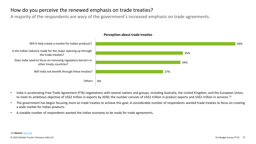## How do you perceive the renewed emphasis on trade treaties?

A majority of the respondents are wary of the government's increased emphasis on trade agreements.



#### **Perception about trade treaties**

- India is accelerating Free-Trade Agreement (FTA) negotiations with several nations and groups, including Australia, the United Kingdom, and the European Union, to meet its ambitious objective of US\$2 trillion in exports by 2030; the number consists of US\$1 trillion in product exports and US\$1 trillion in services.(1)
- The government has begun focusing more on trade treaties to achieve this goal. A considerable number of respondents wanted trade treaties to focus on creating a wide market for Indian products.
- A sizeable number of respondents wanted the Indian economy to be ready for trade agreements.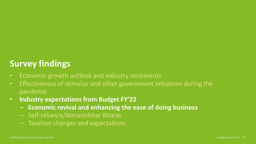# **Survey findings**

- Economic growth outlook and industry sentiments
- Effectiveness of stimulus and other government initiatives during the pandemic
- **Industry expectations from Budget FY'22**
	- ‒ **Economic revival and enhancing the ease of doing business**
	- Self-reliance/Atmanirbhar Bharat
	- Taxation changes and expectations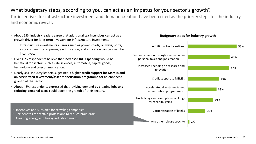## What budgetary steps, according to you, can act as an impetus for your sector's growth?

Tax incentives for infrastructure investment and demand creation have been cited as the priority steps for the industry and economic revival.

- About 55% industry leaders agree that **additional tax incentives** can act as a **Budgetary steps for industry growth** growth driver for long-term investors for infrastructure investment.
	- − Infrastructure investments in areas such as power, roads, railways, ports, airports, healthcare, power, electrification, and education can be given tax incentives.
- Over 45% respondents believe that **increased R&D spending** would be beneficial for sectors such as life sciences, automobile, capital goods, technology and telecommunication.
- Nearly 35% industry leaders suggested a higher **credit support for MSMEs and an accelerated divestment/asset monetisation programme** for an enhanced growth of the sector.
- About 48% respondents expressed that reviving demand by creating **jobs and reducing personal taxes** could boost the growth of their sectors.

- Incentives and subsidies for recycling companies
- Tax benefits for certain professions to reduce brain drain
- Creating energy and heavy industry demand



© 2022 Deloitte Touche Tohmatsu India LLP. Pre-Budget Survey FY'22 23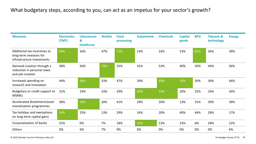## What budgetary steps, according to you, can act as an impetus for your sector's growth?

| <b>Measures</b>                                                                       | <b>Electronics</b><br>(TMT) | <b>Lifesciences</b><br>&<br>healthcare | <b>Textiles</b> | <b>Food</b><br>processing | <b>Automotive</b> | <b>Chemicals</b> | <b>Capital</b><br>goods | <b>BFSI</b> | <b>Telecom &amp;</b><br>technology | <b>Energy</b> |
|---------------------------------------------------------------------------------------|-----------------------------|----------------------------------------|-----------------|---------------------------|-------------------|------------------|-------------------------|-------------|------------------------------------|---------------|
| Additional tax incentives to<br>long-term investors for<br>infrastructure investments | 69%                         | 56%                                    | 47%             | 71%                       | 53%               | 33%              | 53%                     | 81%         | 56%                                | 39%           |
| Demand creation through a<br>reduction in personal taxes<br>and job creation          | 38%                         | 56%                                    | 73%             | 35%                       | 41%               | 53%              | 40%                     | 50%         | 44%                                | 56%           |
| Increased spending on<br>research and innovation                                      | 44%                         | 69%                                    | 33%             | 47%                       | 29%               | 60%              | 53%                     | 50%         | 39%                                | 44%           |
| Budgetary or credit support to<br><b>MSMEs</b>                                        | 31%                         | 19%                                    | 53%             | 29%                       | 65%               | 53%              | 20%                     | 25%         | 33%                                | 33%           |
| Accelerated divestment/asset<br>monetisation programmes                               | 38%                         | 50%                                    | 20%             | 41%                       | 29%               | 20%              | 13%                     | 31%         | 39%                                | 39%           |
| Tax holidays and exemptions<br>on long-term capital gains                             | 50%                         | 25%                                    | 13%             | 29%                       | 24%               | 20%              | 40%                     | 44%         | 28%                                | 17%           |
| Corporatisation of banks                                                              | 25%                         | 0%                                     | 7%              | 18%                       | 41%               | 13%              | 33%                     | 6%          | 28%                                | 22%           |
| Others                                                                                | 0%                          | 6%                                     | 7%              | 0%                        | 0%                | 0%               | 0%                      | 0%          | 0%                                 | 6%            |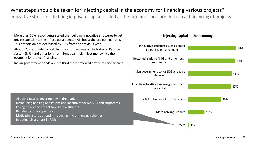## What steps should be taken for injecting capital in the economy for financing various projects?

Innovative structures to bring in private capital is cited as the top-most measure that can aid financing of projects.

- More than 50% respondents stated that building innovative structures to get **Injecting capital in the economy** private capital into the infrastructure sector will boost the project financing. This proportion has decreased by 12% from the previous year.
- About 52% respondents feel that the improved use of the National Pension System (NPS) and other long-term funds can help inject money into the economy for project financing.
- Indian government bonds are the third most preferred device to raise finance.

• Introducing banking relaxations and incentives for MSMEs and corporates

• Motivating start-ups and introducing microfinancing schemes



• Redefining import policies

• Initiating divestment in PSUs

• Allowing BFSI to inject money in the market

Easing policies to attract foreign investments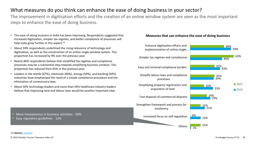## What measures do you think can enhance the ease of doing business in your sector?

The improvement in digitisation efforts and the creation of an online window system are seen as the most important steps to enhance the ease of doing business.

- The ease of doing business in India has been improving. Respondents suggested that **Measures that can enhance the ease of doing business** increased digitisation, simpler tax regimes, and better compliance of processes will help India grow further in this aspect. $(1)$
- About 59% respondents underlined the rising relevance of technology and digitisation, as well as the construction of an online single-window system. This proportion has increased by 9% over the previous year.
- Nearly 46% respondents believe that simplified tax regimes and compliance processes may be a substantial step towards simplifying business conduct. This proportion has reduced from 65% in the previous year.
- Leaders in the textile (67%), chemicals (60%), energy (50%), and banking (50%) industries have emphasised the need of a simple compliance procedure and the elimination of unnecessary laws.
- About 50% technology leaders and more than 44% healthcare industry leaders believe that improving land and labour laws would be another important step.



• More transparency in business activities - 20%

• Easy regulatory guidelines - 12%

(1) **Source:** [Livemint](https://www.livemint.com/news/india/india-jumps-14-notches-in-world-bank-s-ease-of-doing-business-rankings-11571882591868.html)

© 2022 Deloitte Touche Tohmatsu India LLP. Pre-Budget Survey FY'22 26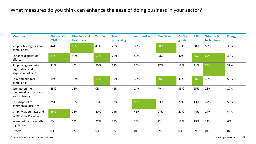## What measures do you think can enhance the ease of doing business in your sector?

| <b>Measures</b>                                                 | <b>Electronics</b><br>(TMT) | <b>Lifesciences &amp;</b><br>healthcare | <b>Textiles</b> | <b>Food</b><br>processing | <b>Automotive</b> | <b>Chemicals</b> | <b>Capital</b><br>goods | <b>BFSI</b> | <b>Telecom &amp;</b><br>technology | <b>Energy</b> |
|-----------------------------------------------------------------|-----------------------------|-----------------------------------------|-----------------|---------------------------|-------------------|------------------|-------------------------|-------------|------------------------------------|---------------|
| Simpler tax regimes and<br>compliances                          | 44%                         | 63%                                     | 47%             | 29%                       | 35%               | 60%              | 53%                     | 38%         | 56%                                | 39%           |
| Enhance digitisation<br>efforts                                 | 81%                         | 50%                                     | 67%             | 76%                       | 59%               | 33%              | 40%                     | 75%         | 67%                                | 39%           |
| Simplifying property<br>registration and<br>acquisition of land | 31%                         | 44%                                     | 20%             | 29%                       | 35%               | 27%              | 13%                     | 31%         | 50%                                | 39%           |
| Easy and minimal<br>compliance                                  | 19%                         | 38%                                     | 67%             | 35%                       | 35%               | 60%              | 47%                     | 50%         | 33%                                | 50%           |
| Strengthen the<br>framework and process<br>for insolvency       | 25%                         | 13%                                     | 0%              | 41%                       | 24%               | 7%               | 33%                     | 25%         | 28%                                | 17%           |
| Fast disposal of<br>commercial disputes                         | 25%                         | 38%                                     | 13%             | 12%                       | 53%               | 33%              | 27%                     | 13%         | 22%                                | 50%           |
| Simplify labour laws and<br>compliance processes                | 56%                         | 25%                                     | 40%             | 24%                       | 41%               | 27%              | 27%                     | 44%         | 17%                                | 44%           |
| Increased focus on self-<br>regulation                          | 6%                          | 13%                                     | 27%             | 35%                       | 18%               | 7%               | 13%                     | 19%         | 11%                                | 6%            |
| Others                                                          | 0%                          | 0%                                      | 0%              | 0%                        | 0%                | 0%               | 0%                      | 0%          | 0%                                 | 0%            |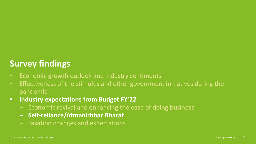# **Survey findings**

- Economic growth outlook and industry sentiments
- Effectiveness of the stimulus and other government initiatives during the pandemic
- **Industry expectations from Budget FY'22**
	- Economic revival and enhancing the ease of doing business
	- ‒ **Self-reliance/Atmanirbhar Bharat**
	- Taxation changes and expectations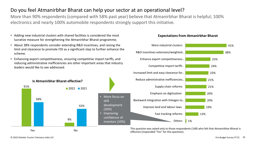## Do you feel Atmanirbhar Bharat can help your sector at an operational level?

More than 90% respondents (compared with 58% past year) believe that Atmanirbhar Bharat is helpful; 100% electronics and nearly 100% automobile respondents strongly support this initiative.

- Adding new industrial clusters with shared facilities is considered the most **Expectations from Atmanirbhar Bharat** lucrative measure for strengthening the Atmanirbhar Bharat programme.
- About 38% respondents consider extending R&D incentives, and raising the limit and clearance to promote FDI as a significant step to further enhance the scheme.
- Enhancing export competitiveness, ensuring competitive import tariffs, and reducing administrative inefficiencies are other important areas that industry leaders would like to see addressed.







This question was asked only to those respondents (148) who felt that Atmanirbhar Bharat is effective (responded "Yes" for this question).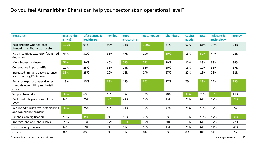## Do you feel Atmanirbhar Bharat can help your sector at an operational level?

| <b>Measures</b>                                                                | <b>Electronics</b><br>(TMT) | <b>Lifesciences &amp;</b><br>healthcare | <b>Textiles</b> | <b>Food</b><br>processing | <b>Automotive</b> | <b>Chemicals</b> | <b>Capital</b><br>goods | <b>BFSI</b> | <b>Telecom &amp;</b><br>technology | <b>Energy</b> |
|--------------------------------------------------------------------------------|-----------------------------|-----------------------------------------|-----------------|---------------------------|-------------------|------------------|-------------------------|-------------|------------------------------------|---------------|
| Respondents who feel that<br>Atmanirbhar Bharat was useful                     | 100%                        | 94%                                     | 93%             | 94%                       | 100%              | 87%              | 67%                     | 81%         | 94%                                | 94%           |
| R&D incentives extension/weighted<br>deduction                                 | 44%                         | 31%                                     | 33%             | 47%                       | 29%               | 60%              | 13%                     | 50%         | 44%                                | 28%           |
| More industrial clusters                                                       | 56%                         | 50%                                     | 40%             | 53%                       | 53%               | 20%              | 20%                     | 38%         | 39%                                | 39%           |
| Competitive import tariffs                                                     | 19%                         | 25%                                     | 33%             | 24%                       | 35%               | 20%              | 13%                     | 19%         | 33%                                | 17%           |
| Increased limit and easy clearance<br>for promoting FDI inflows                | 38%                         | 25%                                     | 20%             | 18%                       | 24%               | 27%              | 27%                     | 13%         | 28%                                | 11%           |
| Enhance export competitiveness<br>through lower utility and logistics<br>costs | 13%                         | 25%                                     | 33%             | 18%                       | 35%               | 27%              | 7%                      | 38%         | 22%                                | 33%           |
| Supply chain reforms                                                           | 38%                         | 6%                                      | 13%             | 0%                        | 24%               | 20%              | 33%                     | 25%         | 33%                                | 17%           |
| Backward integration with links to<br><b>MSMEs</b>                             | 6%                          | 25%                                     | 33%             | 24%                       | 12%               | 13%              | 20%                     | 6%          | 17%                                | 39%           |
| Reduce administrative inefficiencies<br>and compliance burdens                 | 38%                         | 25%                                     | 13%             | 24%                       | 29%               | 27%              | 20%                     | 13%         | 22%                                | 6%            |
| Emphasis on digitisation                                                       | 19%                         | 31%                                     | 7%              | 18%                       | 29%               | 0%               | 13%                     | 19%         | 17%                                | 38%           |
| Improve land and labour laws                                                   | 25%                         | 13%                                     | 27%             | 35%                       | 12%               | 20%              | 13%                     | 6%          | 17%                                | 22%           |
| Fast-tracking reforms                                                          | 6%                          | 19%                                     | 7%              | 6%                        | 18%               | 13%              | 20%                     | 6%          | 11%                                | 28%           |
| Others                                                                         | 0%                          | 0%                                      | 7%              | 0%                        | 0%                | 0%               | 0%                      | 0%          | 0%                                 | 0%            |

© 2022 Deloitte Touche Tohmatsu India LLP. Pre-Budget Survey FY'22 30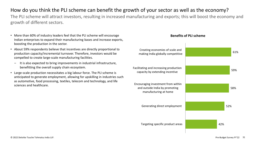## How do you think the PLI scheme can benefit the growth of your sector as well as the economy?

The PLI scheme will attract investors, resulting in increased manufacturing and exports; this will boost the economy and growth of different sectors.

- More than 60% of industry leaders feel that the PLI scheme will encourage **Benefits of PLI scheme** Indian enterprises to expand their manufacturing bases and increase exports, boosting the production in the sector.
- About 59% respondents believe that incentives are directly proportional to production capacity/incremental turnover. Therefore, investors would be compelled to create large-scale manufacturing facilities.
	- ‒ It is also expected to bring improvements in industrial infrastructure, benefitting the overall supply chain ecosystem.
- Large-scale production necessitates a big labour force. The PLI scheme is anticipated to generate employment, allowing for upskilling in industries such as automotive, food processing, textiles, telecom and technology, and life sciences and healthcare.

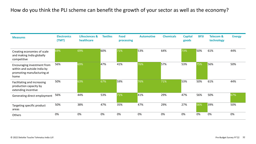## How do you think the PLI scheme can benefit the growth of your sector as well as the economy?

| <b>Measures</b>                                                                                  | <b>Electronics</b><br>(TMT) | Lifesciences &<br>healthcare | <b>Textiles</b> | <b>Food</b><br>processing | <b>Automotive</b> | <b>Chemicals</b> | <b>Capital</b><br>goods | <b>BFSI</b> | <b>Telecom &amp;</b><br>technology | <b>Energy</b> |
|--------------------------------------------------------------------------------------------------|-----------------------------|------------------------------|-----------------|---------------------------|-------------------|------------------|-------------------------|-------------|------------------------------------|---------------|
| Creating economies of scale<br>and making India globally<br>competitive                          | 69%                         | 69%                          | 60%             | 71%                       | 53%               | 64%              | 73%                     | 50%         | 61%                                | 44%           |
| Encouraging investment from<br>within and outside India by<br>promoting manufacturing at<br>home | 56%                         | 69%                          | 47%             | 41%                       | 76%               | 57%              | 53%                     | 75%         | 56%                                | 50%           |
| Facilitating and increasing<br>production capacity by<br>extending incentive                     | 50%                         | 63%                          | 67%             | 59%                       | 76%               | 71%              | 53%                     | 50%         | 61%                                | 44%           |
| Generating direct employment                                                                     | 56%                         | 44%                          | 53%             | 71%                       | 41%               | 29%              | 47%                     | 56%         | 50%                                | 67%           |
| Targeting specific product<br>areas                                                              | 50%                         | 38%                          | 47%             | 35%                       | 47%               | 29%              | 27%                     | 56%         | 39%                                | 50%           |
| Others                                                                                           | 0%                          | 0%                           | 0%              | 0%                        | 0%                | 0%               | 0%                      | 0%          | 0%                                 | 0%            |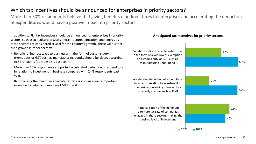## Which tax incentives should be announced for enterprises in priority sectors?

More than 50% respondents believe that giving benefits of indirect taxes to enterprises and accelerating the deduction of expenditures would have a positive impact on priority sectors.

In addition to PLI, tax incentives should be announced for enterprises in priority **Anticipated tax incentives for priority sectors** sectors, such as agriculture, MSMEs, infrastructure, education, and energy as these sectors are considered crucial for the country's growth. These will further push growth in other sectors:

- Benefits of indirect taxes to businesses in the form of customs duty exemptions or GST, such as manufacturing bonds, should be given, according to 53% leaders (up from 36% past year).
- More than 50% respondents supported accelerated deduction of expenditure in relation to investment in business compared with 24% respondents past year.
- Rationalising the minimum alternate tax rate is also an equally important incentive to help companies avail MAT credit.



© 2022 Deloitte Touche Tohmatsu India LLP. Pre-Budget Survey FY'22 33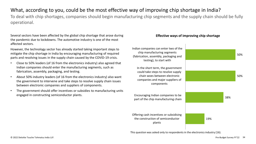## What, according to you, could be the most effective way of improving chip shortage in India?

To deal with chip shortages, companies should begin manufacturing chip segments and the supply chain should be fully operational.

Several sectors have been affected by the global chip shortage that arose during **Effective ways of improving chip shortage** the pandemic due to lockdowns. The automotive industry is one of the most affected sectors.

However, the technology sector has already started taking important steps to mitigate the chip shortage in India by encouraging manufacturing of required parts and resolving issues in the supply chain caused by the COVID-19 crisis.

- Close to 50% leaders (of 16 from the electronics industry) also agreed that Indian companies should enter the manufacturing segments, such as fabrication, assembly, packaging, and testing.
- About 50% industry leaders (of 16 from the electronics industry) also want the government to intervene and take steps to resolve supply chain issues between electronic companies and suppliers of components.
- The government should offer incentives or subsidies to manufacturing units engaged in constructing semiconductor plants.



This question was asked only to respondents in the electronics industry (16).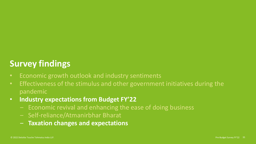# **Survey findings**

- Economic growth outlook and industry sentiments
- Effectiveness of the stimulus and other government initiatives during the pandemic
- **Industry expectations from Budget FY'22**
	- Economic revival and enhancing the ease of doing business
	- Self-reliance/Atmanirbhar Bharat
	- ‒ **Taxation changes and expectations**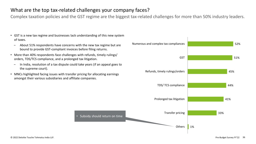## What are the top tax-related challenges your company faces?

Complex taxation policies and the GST regime are the biggest tax-related challenges for more than 50% industry leaders.

- GST is a new tax regime and businesses lack understanding of this new system of taxes.
	- ‒ About 51% respondents have concerns with the new tax regime but are bound to provide GST-compliant invoices before filing returns.
- More than 40% respondents face challenges with refunds, timely rulings/ orders, TDS/TCS compliance, and a prolonged tax litigation.
	- ‒ In India, resolution of a tax dispute could take years (if an appeal goes to the supreme court).
- MNCs highlighted facing issues with transfer pricing for allocating earnings amongst their various subsidiaries and affiliate companies.

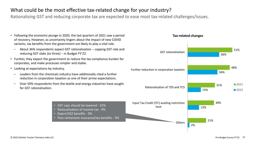## What could be the most effective tax-related change for your industry?

Rationalising GST and reducing corporate tax are expected to ease most tax-related challenges/issues.

- Following the economic plunge in 2020, the last quarters of 2021 saw a period of recovery. However, as uncertainty lingers about the impact of new COVID variants, tax benefits from the government are likely to play a vital role.
	- ‒ About 36% respondents expect GST rationalisation − capping GST rate and reducing GST slabs (to three) − in Budget FY'22.
- Further, they expect the government to reduce the tax compliance burden for corporates, and make processes simpler and stable.
- Looking at expectations by industry,
	- ‒ Leaders from the chemicals industry have additionally cited a further reduction in corporation taxation as one of their prime expectations.
	- ‒ Over 50% respondents from the textile and energy industries have sought for GST rationalisation.



- Rationalisation of income tax 9%
- Export/SEZ benefits 9%
- Post-retirement insurance/tax benefits 9%



#### **Tax-related changes**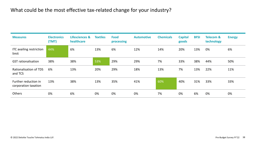## What could be the most effective tax-related change for your industry?

| <b>Measures</b>                              | <b>Electronics</b><br>(TMT) | <b>Lifesciences &amp;</b><br>healthcare | <b>Textiles</b> | <b>Food</b><br>processing | <b>Automotive</b> | <b>Chemicals</b> | <b>Capital</b><br>goods | <b>BFSI</b> | <b>Telecom &amp;</b><br>technology | <b>Energy</b> |
|----------------------------------------------|-----------------------------|-----------------------------------------|-----------------|---------------------------|-------------------|------------------|-------------------------|-------------|------------------------------------|---------------|
| ITC availing restriction<br>limit            | 44%                         | 6%                                      | 13%             | 6%                        | 12%               | 14%              | 20%                     | 13%         | 0%                                 | 6%            |
| <b>GST</b> rationalisation                   | 38%                         | 38%                                     | 53%             | 29%                       | 29%               | 7%               | 33%                     | 38%         | 44%                                | 50%           |
| <b>Rationalisation of TDS</b><br>and TCS     | 6%                          | 13%                                     | 20%             | 29%                       | 18%               | 13%              | 7%                      | 13%         | 22%                                | 11%           |
| Further reduction in<br>corporation taxation | 13%                         | 38%                                     | 13%             | 35%                       | 41%               | 60%              | 40%                     | 31%         | 33%                                | 33%           |
| Others                                       | 0%                          | 6%                                      | 0%              | 0%                        | 0%                | 7%               | 0%                      | 6%          | 0%                                 | 0%            |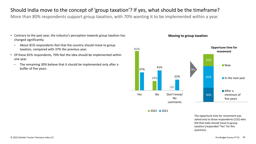## Should India move to the concept of 'group taxation'? If yes, what should be the timeframe?

More than 80% respondents support group taxation, with 70% wanting it to be implemented within a year.

- Contrary to the past year, the industry's perception towards group taxation has changed significantly.
	- ‒ About 81% respondents feel that the country should move to group taxation, compared with 37% the previous year.
- Of these 81% respondents, 70% feel the idea should be implemented within one year.
	- ‒ The remaining 30% believe that it should be implemented only after a buffer of five years.



 $2022$  2021

The opportune time for movement was asked only to those respondents (132) who felt that India should move to group taxation (responded "Yes" for this question).

#### **Moving to group taxation**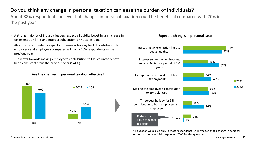## Do you think any change in personal taxation can ease the burden of individuals?

About 88% respondents believe that changes in personal taxation could be beneficial compared with 70% in the past year.

- A strong majority of industry leaders expect a liquidity boost by an increase in tax exemption limit and interest subvention on housing loans.
- About 36% respondents expect a three-year holiday for ESI contribution to employers and employees compared with only 15% respondents in the previous year.
- The views towards making employees' contribution to EPF voluntarily have been consistent from the previous year (~44%).

### **Are the changes in personal taxation effective?**





This question was asked only to those respondents (144) who felt that a change in personal taxation can be beneficial (responded "Yes" for this question).

### **Expected changes in personal taxation**

© 2022 Deloitte Touche Tohmatsu India LLP. Pre-Budget Survey FY'22 40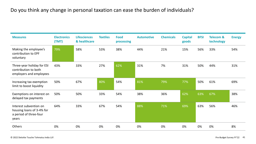## Do you think any change in personal taxation can ease the burden of individuals?

| <b>Measures</b>                                                                        | <b>Electronics</b><br>(TMT) | <b>Lifesciences</b><br>& healthcare | <b>Textiles</b> | <b>Food</b><br>processing | <b>Automotive</b> | <b>Chemicals</b> | <b>Capital</b><br>goods | <b>BFSI</b> | <b>Telecom &amp;</b><br>technology | <b>Energy</b> |
|----------------------------------------------------------------------------------------|-----------------------------|-------------------------------------|-----------------|---------------------------|-------------------|------------------|-------------------------|-------------|------------------------------------|---------------|
| Making the employee's<br>contribution to EPF<br>voluntary                              | 79%                         | 58%                                 | 53%             | 38%                       | 44%               | 21%              | 15%                     | 56%         | 33%                                | 54%           |
| Three-year holiday for ESI<br>contribution to both<br>employers and employees          | 43%                         | 33%                                 | 27%             | 62%                       | 31%               | 7%               | 31%                     | 50%         | 44%                                | 31%           |
| Increasing tax exemption<br>limit to boost liquidity                                   | 50%                         | 67%                                 | 80%             | 54%                       | 81%               | 79%              | 77%                     | 50%         | 61%                                | 69%           |
| Exemptions on interest on<br>delayed tax payments                                      | 50%                         | 50%                                 | 33%             | 54%                       | 38%               | 36%              | 62%                     | 63%         | 67%                                | 38%           |
| Interest subvention on<br>housing loans of 3-4% for<br>a period of three-four<br>years | 64%                         | 33%                                 | 67%             | 54%                       | 88%               | 71%              | 69%                     | 63%         | 56%                                | 46%           |
| Others                                                                                 | 0%                          | 0%                                  | 0%              | 0%                        | 0%                | 0%               | 0%                      | 0%          | 0%                                 | 8%            |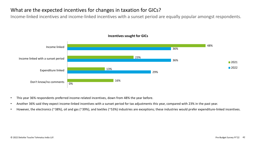## What are the expected incentives for changes in taxation for GICs?

Income-linked incentives and income-linked incentives with a sunset period are equally popular amongst respondents.



### **Incentives sought for GICs**

- This year 36% respondents preferred income-related incentives, down from 48% the year before.
- Another 36% said they expect income-linked incentives with a sunset period for tax adjustments this year, compared with 23% in the past year.
- However, the electronics (~38%), oil and gas (~39%), and textiles (~53%) industries are exceptions; these industries would prefer expenditure-linked incentives.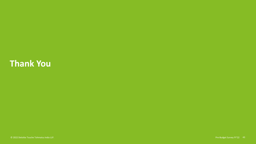# **Thank You**